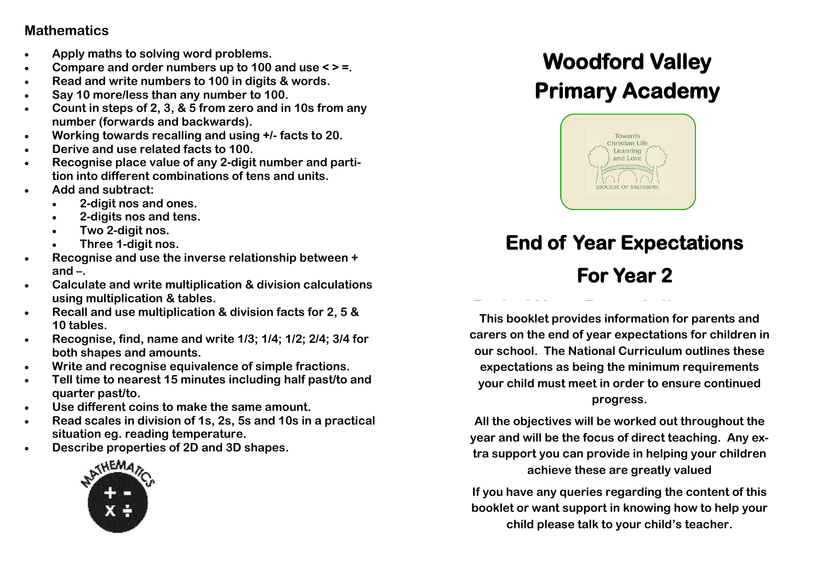### **Mathematics**

- **Apply maths to solving word problems.**
- **Compare and order numbers up to 100 and use < > =.**
- **Read and write numbers to 100 in digits & words.**
- **Say 10 more/less than any number to 100.**
- **Count in steps of 2, 3, & 5 from zero and in 10s from any number (forwards and backwards).**
- **Working towards recalling and using +/- facts to 20.**
- **Derive and use related facts to 100.**
- **Recognise place value of any 2-digit number and partition into different combinations of tens and units.**
- **Add and subtract:**
	- **2-digit nos and ones.**
	- **2-digits nos and tens.**
	- **Two 2-digit nos.**
	- **Three 1-digit nos.**
- **Recognise and use the inverse relationship between + and –.**
- **Calculate and write multiplication & division calculations using multiplication & tables.**
- **Recall and use multiplication & division facts for 2, 5 & 10 tables.**
- **Recognise, find, name and write 1/3; 1/4; 1/2; 2/4; 3/4 for both shapes and amounts.**
- **Write and recognise equivalence of simple fractions.**
- **Tell time to nearest 15 minutes including half past/to and quarter past/to.**
- **Use different coins to make the same amount.**
- **Read scales in division of 1s, 2s, 5s and 10s in a practical situation eg. reading temperature.**
- **Describe properties of 2D and 3D shapes.**



### **Woodford Valley Primary Academy Woodford Valley Primary Academy**



# **End of Year Expectations**

# **For Year 2**

**This booklet provides information for parents and carers on the end of year expectations for children in our school. The National Curriculum outlines these expectations as being the minimum requirements your child must meet in order to ensure continued progress.** 

**All the objectives will be worked out throughout the year and will be the focus of direct teaching. Any extra support you can provide in helping your children achieve these are greatly valued**

**If you have any queries regarding the content of this booklet or want support in knowing how to help your child please talk to your child's teacher.**